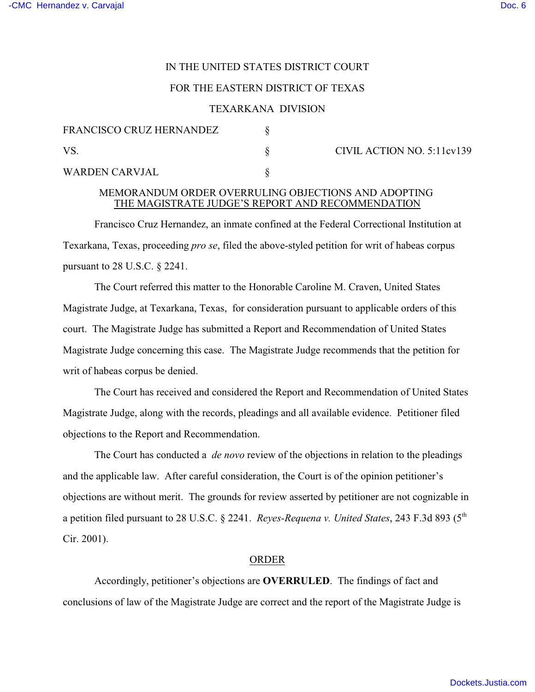# IN THE UNITED STATES DISTRICT COURT

# FOR THE EASTERN DISTRICT OF TEXAS

### TEXARKANA DIVISION

| FRANCISCO CRUZ HERNANDEZ |  | CIVIL AC |
|--------------------------|--|----------|
|                          |  |          |
| <b>WARDEN CARVJAL</b>    |  |          |

### CTION NO. 5:11cv139

# MEMORANDUM ORDER OVERRULING OBJECTIONS AND ADOPTING THE MAGISTRATE JUDGE'S REPORT AND RECOMMENDATION

Francisco Cruz Hernandez, an inmate confined at the Federal Correctional Institution at Texarkana, Texas, proceeding *pro se*, filed the above-styled petition for writ of habeas corpus pursuant to 28 U.S.C. § 2241.

The Court referred this matter to the Honorable Caroline M. Craven, United States Magistrate Judge, at Texarkana, Texas, for consideration pursuant to applicable orders of this court. The Magistrate Judge has submitted a Report and Recommendation of United States Magistrate Judge concerning this case. The Magistrate Judge recommends that the petition for writ of habeas corpus be denied.

The Court has received and considered the Report and Recommendation of United States Magistrate Judge, along with the records, pleadings and all available evidence. Petitioner filed objections to the Report and Recommendation.

The Court has conducted a *de novo* review of the objections in relation to the pleadings and the applicable law. After careful consideration, the Court is of the opinion petitioner's objections are without merit. The grounds for review asserted by petitioner are not cognizable in a petition filed pursuant to 28 U.S.C. § 2241. *Reyes-Requena v. United States*, 243 F.3d 893 (5<sup>th</sup> Cir. 2001).

### ORDER

Accordingly, petitioner's objections are **OVERRULED**. The findings of fact and conclusions of law of the Magistrate Judge are correct and the report of the Magistrate Judge is